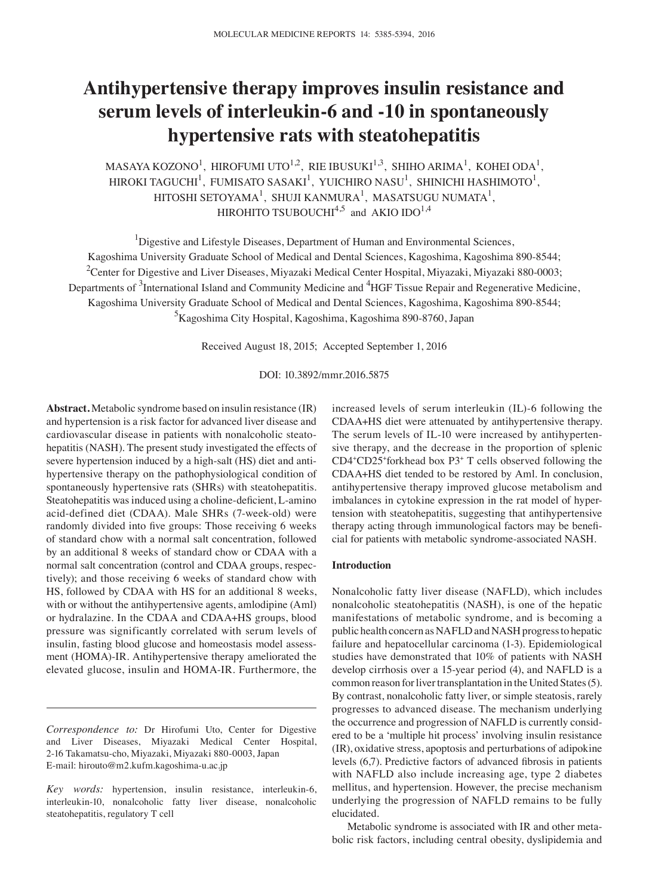# **Antihypertensive therapy improves insulin resistance and serum levels of interleukin-6 and -10 in spontaneously hypertensive rats with steatohepatitis**

MASAYA KOZONO<sup>1</sup>, HIROFUMI UTO<sup>1,2</sup>, RIE IBUSUKI<sup>1,3</sup>, SHIHO ARIMA<sup>1</sup>, KOHEI ODA<sup>1</sup>, HIROKI TAGUCHI<sup>1</sup>, FUMISATO SASAKI<sup>1</sup>, YUICHIRO NASU<sup>1</sup>, SHINICHI HASHIMOTO<sup>1</sup>,  $\rm{HITOSHI}$  SETOYAMA $^{\rm l}$ , SHUJI KANMURA $^{\rm l}$ , MASATSUGU NUMATA $^{\rm l}$ , HIROHITO TSUBOUCHI<sup>4,5</sup> and AKIO IDO<sup>1,4</sup>

<sup>1</sup>Digestive and Lifestyle Diseases, Department of Human and Environmental Sciences, Kagoshima University Graduate School of Medical and Dental Sciences, Kagoshima, Kagoshima 890-8544;  $^{2}$ Center for Digestive and Liver Diseases, Miyazaki Medical Center Hospital, Miyazaki, Miyazaki 880-0003; Departments of <sup>3</sup>International Island and Community Medicine and <sup>4</sup>HGF Tissue Repair and Regenerative Medicine, Kagoshima University Graduate School of Medical and Dental Sciences, Kagoshima, Kagoshima 890-8544; <sup>5</sup>Kagoshima City Hospital, Kagoshima, Kagoshima 890-8760, Japan

Received August 18, 2015; Accepted September 1, 2016

DOI: 10.3892/mmr.2016.5875

**Abstract.** Metabolic syndrome based on insulin resistance (IR) and hypertension is a risk factor for advanced liver disease and cardiovascular disease in patients with nonalcoholic steatohepatitis (NASH). The present study investigated the effects of severe hypertension induced by a high-salt (HS) diet and antihypertensive therapy on the pathophysiological condition of spontaneously hypertensive rats (SHRs) with steatohepatitis. Steatohepatitis was induced using a choline-deficient, L-amino acid-defined diet (CDAA). Male SHRs (7-week-old) were randomly divided into five groups: Those receiving 6 weeks of standard chow with a normal salt concentration, followed by an additional 8 weeks of standard chow or CDAA with a normal salt concentration (control and CDAA groups, respectively); and those receiving 6 weeks of standard chow with HS, followed by CDAA with HS for an additional 8 weeks, with or without the antihypertensive agents, amlodipine (Aml) or hydralazine. In the CDAA and CDAA+HS groups, blood pressure was significantly correlated with serum levels of insulin, fasting blood glucose and homeostasis model assessment (HOMA)-IR. Antihypertensive therapy ameliorated the elevated glucose, insulin and HOMA-IR. Furthermore, the

*Correspondence to:* Dr Hirofumi Uto, Center for Digestive and Liver Diseases, Miyazaki Medical Center Hospital, 2-16 Takamatsu-cho, Miyazaki, Miyazaki 880-0003, Japan E-mail: hirouto@m2.kufm.kagoshima-u.ac.jp

increased levels of serum interleukin (IL)-6 following the CDAA+HS diet were attenuated by antihypertensive therapy. The serum levels of IL-10 were increased by antihypertensive therapy, and the decrease in the proportion of splenic CD4+ CD25+ forkhead box P3+ T cells observed following the CDAA+HS diet tended to be restored by Aml. In conclusion, antihypertensive therapy improved glucose metabolism and imbalances in cytokine expression in the rat model of hypertension with steatohepatitis, suggesting that antihypertensive therapy acting through immunological factors may be beneficial for patients with metabolic syndrome-associated NASH.

## **Introduction**

Nonalcoholic fatty liver disease (NAFLD), which includes nonalcoholic steatohepatitis (NASH), is one of the hepatic manifestations of metabolic syndrome, and is becoming a public health concern as NAFLD and NASH progress to hepatic failure and hepatocellular carcinoma (1-3). Epidemiological studies have demonstrated that 10% of patients with NASH develop cirrhosis over a 15-year period (4), and NAFLD is a common reason for liver transplantation in the United States(5). By contrast, nonalcoholic fatty liver, or simple steatosis, rarely progresses to advanced disease. The mechanism underlying the occurrence and progression of NAFLD is currently considered to be a 'multiple hit process' involving insulin resistance (IR), oxidative stress, apoptosis and perturbations of adipokine levels (6,7). Predictive factors of advanced fibrosis in patients with NAFLD also include increasing age, type 2 diabetes mellitus, and hypertension. However, the precise mechanism underlying the progression of NAFLD remains to be fully elucidated.

Metabolic syndrome is associated with IR and other metabolic risk factors, including central obesity, dyslipidemia and

*Key words:* hypertension, insulin resistance, interleukin-6, interleukin-10, nonalcoholic fatty liver disease, nonalcoholic steatohepatitis, regulatory T cell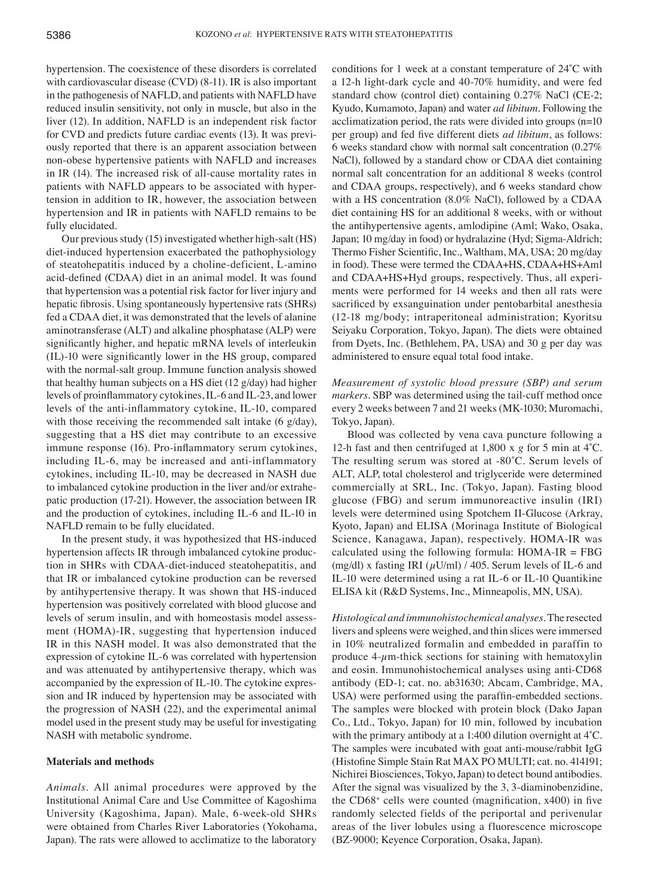hypertension. The coexistence of these disorders is correlated with cardiovascular disease (CVD) (8-11). IR is also important in the pathogenesis of NAFLD, and patients with NAFLD have reduced insulin sensitivity, not only in muscle, but also in the liver (12). In addition, NAFLD is an independent risk factor for CVD and predicts future cardiac events (13). It was previously reported that there is an apparent association between non-obese hypertensive patients with NAFLD and increases in IR (14). The increased risk of all-cause mortality rates in patients with NAFLD appears to be associated with hypertension in addition to IR, however, the association between hypertension and IR in patients with NAFLD remains to be fully elucidated.

Our previous study (15) investigated whether high-salt (HS) diet-induced hypertension exacerbated the pathophysiology of steatohepatitis induced by a choline-deficient, L-amino acid‑defined (CDAA) diet in an animal model. It was found that hypertension was a potential risk factor for liver injury and hepatic fibrosis. Using spontaneously hypertensive rats (SHRs) fed a CDAA diet, it was demonstrated that the levels of alanine aminotransferase (ALT) and alkaline phosphatase (ALP) were significantly higher, and hepatic mRNA levels of interleukin (IL)‑10 were significantly lower in the HS group, compared with the normal-salt group. Immune function analysis showed that healthy human subjects on a HS diet (12 g/day) had higher levels of proinflammatory cytokines, IL‑6 and IL‑23, and lower levels of the anti-inflammatory cytokine, IL-10, compared with those receiving the recommended salt intake (6 g/day), suggesting that a HS diet may contribute to an excessive immune response (16). Pro-inflammatory serum cytokines, including IL-6, may be increased and anti-inflammatory cytokines, including IL-10, may be decreased in NASH due to imbalanced cytokine production in the liver and/or extrahepatic production (17-21). However, the association between IR and the production of cytokines, including IL-6 and IL-10 in NAFLD remain to be fully elucidated.

In the present study, it was hypothesized that HS-induced hypertension affects IR through imbalanced cytokine production in SHRs with CDAA-diet-induced steatohepatitis, and that IR or imbalanced cytokine production can be reversed by antihypertensive therapy. It was shown that HS-induced hypertension was positively correlated with blood glucose and levels of serum insulin, and with homeostasis model assessment (HOMA)-IR, suggesting that hypertension induced IR in this NASH model. It was also demonstrated that the expression of cytokine IL-6 was correlated with hypertension and was attenuated by antihypertensive therapy, which was accompanied by the expression of IL-10. The cytokine expression and IR induced by hypertension may be associated with the progression of NASH (22), and the experimental animal model used in the present study may be useful for investigating NASH with metabolic syndrome.

## **Materials and methods**

*Animals.* All animal procedures were approved by the Institutional Animal Care and Use Committee of Kagoshima University (Kagoshima, Japan). Male, 6-week-old SHRs were obtained from Charles River Laboratories (Yokohama, Japan). The rats were allowed to acclimatize to the laboratory conditions for 1 week at a constant temperature of 24˚C with a 12-h light-dark cycle and 40-70% humidity, and were fed standard chow (control diet) containing 0.27% NaCl (CE-2; Kyudo, Kumamoto, Japan) and water *ad libitum*. Following the acclimatization period, the rats were divided into groups (n=10 per group) and fed five different diets *ad libitum*, as follows: 6 weeks standard chow with normal salt concentration (0.27% NaCl), followed by a standard chow or CDAA diet containing normal salt concentration for an additional 8 weeks (control and CDAA groups, respectively), and 6 weeks standard chow with a HS concentration (8.0% NaCl), followed by a CDAA diet containing HS for an additional 8 weeks, with or without the antihypertensive agents, amlodipine (Aml; Wako, Osaka, Japan; 10 mg/day in food) or hydralazine (Hyd; Sigma-Aldrich; Thermo Fisher Scientific, Inc., Waltham, MA, USA; 20 mg/day in food). These were termed the CDAA+HS, CDAA+HS+Aml and CDAA+HS+Hyd groups, respectively. Thus, all experiments were performed for 14 weeks and then all rats were sacrificed by exsanguination under pentobarbital anesthesia (12-18 mg/body; intraperitoneal administration; Kyoritsu Seiyaku Corporation, Tokyo, Japan). The diets were obtained from Dyets, Inc. (Bethlehem, PA, USA) and 30 g per day was administered to ensure equal total food intake.

*Measurement of systolic blood pressure (SBP) and serum markers.* SBP was determined using the tail-cuff method once every 2 weeks between 7 and 21 weeks (MK-1030; Muromachi, Tokyo, Japan).

Blood was collected by vena cava puncture following a 12-h fast and then centrifuged at 1,800 x *g* for 5 min at 4˚C. The resulting serum was stored at -80°C. Serum levels of ALT, ALP, total cholesterol and triglyceride were determined commercially at SRL, Inc. (Tokyo, Japan). Fasting blood glucose (FBG) and serum immunoreactive insulin (IRI) levels were determined using Spotchem II-Glucose (Arkray, Kyoto, Japan) and ELISA (Morinaga Institute of Biological Science, Kanagawa, Japan), respectively. HOMA-IR was calculated using the following formula:  $HOMA-IR = FBG$ (mg/dl) x fasting IRI ( $\mu$ U/ml) / 405. Serum levels of IL-6 and IL-10 were determined using a rat IL-6 or IL-10 Quantikine ELISA kit (R&D Systems, Inc., Minneapolis, MN, USA).

*Histological and immunohistochemical analyses.* The resected livers and spleens were weighed, and thin slices were immersed in 10% neutralized formalin and embedded in paraffin to produce  $4\text{-}\mu$ m-thick sections for staining with hematoxylin and eosin. Immunohistochemical analyses using anti-CD68 antibody (ED-1; cat. no. ab31630; Abcam, Cambridge, MA, USA) were performed using the paraffin‑embedded sections. The samples were blocked with protein block (Dako Japan Co., Ltd., Tokyo, Japan) for 10 min, followed by incubation with the primary antibody at a 1:400 dilution overnight at 4<sup>°</sup>C. The samples were incubated with goat anti-mouse/rabbit IgG (Histofine Simple Stain Rat MAX PO MULTI; cat. no. 414191; Nichirei Biosciences, Tokyo, Japan) to detect bound antibodies. After the signal was visualized by the 3, 3-diaminobenzidine, the CD68+ cells were counted (magnification, x400) in five randomly selected fields of the periportal and perivenular areas of the liver lobules using a fluorescence microscope (BZ-9000; Keyence Corporation, Osaka, Japan).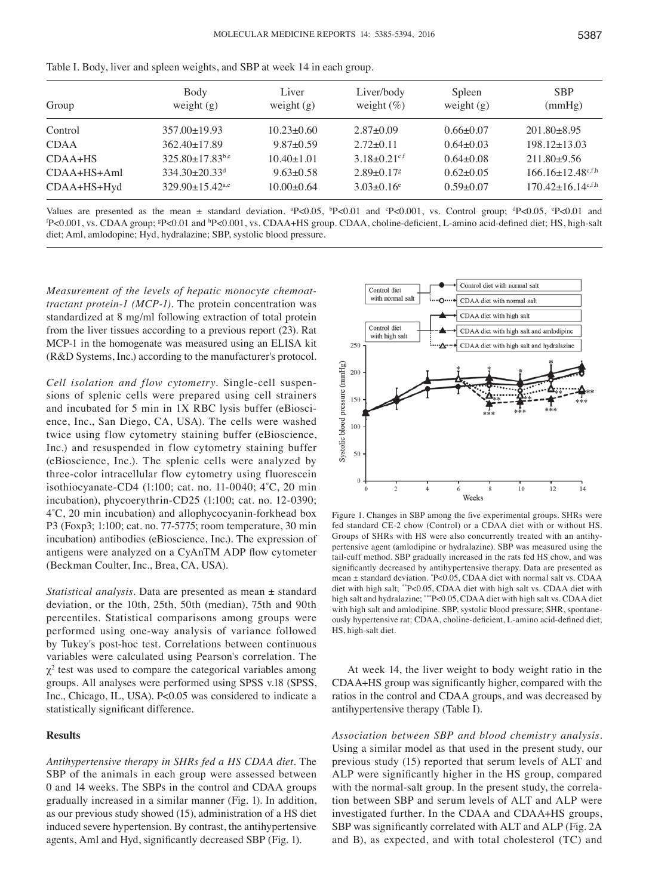| Liver            | Liver/body                                                                                                                                                               | Spleen          | <b>SBP</b><br>(mmHg)                |
|------------------|--------------------------------------------------------------------------------------------------------------------------------------------------------------------------|-----------------|-------------------------------------|
|                  |                                                                                                                                                                          |                 |                                     |
| $10.23 \pm 0.60$ | $2.87 \pm 0.09$                                                                                                                                                          | $0.66 \pm 0.07$ | $201.80 \pm 8.95$                   |
| $9.87 \pm 0.59$  | $2.72 \pm 0.11$                                                                                                                                                          | $0.64 \pm 0.03$ | $198.12 \pm 13.03$                  |
| $10.40\pm1.01$   | $3.18 \pm 0.21$ <sup>c,f</sup>                                                                                                                                           | $0.64 \pm 0.08$ | $211.80+9.56$                       |
| $9.63 \pm 0.58$  | $2.89 \pm 0.17$ <sup>g</sup>                                                                                                                                             | $0.62 \pm 0.05$ | $166.16 \pm 12.48$ <sup>c,f,h</sup> |
| $10.00 \pm 0.64$ | $3.03 \pm 0.16$ <sup>e</sup>                                                                                                                                             | $0.59 \pm 0.07$ | $170.42 \pm 16.14$ c,f,h            |
|                  | weight $(g)$<br>weight $(g)$<br>$357.00 \pm 19.93$<br>$362.40 \pm 17.89$<br>$325.80 + 17.83^{b,e}$<br>$334.30 \pm 20.33$ <sup>d</sup><br>$329.90 \pm 15.42^{\text{a,e}}$ | weight $(\%)$   | weight $(g)$                        |

Table I. Body, liver and spleen weights, and SBP at week 14 in each group.

Values are presented as the mean  $\pm$  standard deviation. <sup>a</sup>P<0.05, <sup>b</sup>P<0.01 and <sup>c</sup>P<0.001, vs. Control group; <sup>d</sup>P<0.05, <sup>c</sup>P<0.01 and  $\Delta$  channels are presented as the mean  $\pm$  standard deviation. <sup>a</sup>P<0.05, <sup>b</sup>P<0. P<0.001, vs. CDAA group; \*P<0.01 and <sup>h</sup>P<0.001, vs. CDAA+HS group. CDAA, choline-deficient, L-amino acid-defined diet; HS, high-salt diet; Aml, amlodopine; Hyd, hydralazine; SBP, systolic blood pressure.

*Measurement of the levels of hepatic monocyte chemoat‑ tractant protein‑1 (MCP‑1).* The protein concentration was standardized at 8 mg/ml following extraction of total protein from the liver tissues according to a previous report (23). Rat MCP-1 in the homogenate was measured using an ELISA kit (R&D Systems, Inc.) according to the manufacturer's protocol.

*Cell isolation and flow cytometry.* Single-cell suspensions of splenic cells were prepared using cell strainers and incubated for 5 min in 1X RBC lysis buffer (eBioscience, Inc., San Diego, CA, USA). The cells were washed twice using flow cytometry staining buffer (eBioscience, Inc.) and resuspended in flow cytometry staining buffer (eBioscience, Inc.). The splenic cells were analyzed by three-color intracellular flow cytometry using fluorescein isothiocyanate-CD4 (1:100; cat. no. 11‑0040; 4˚C, 20 min incubation), phycoerythrin-CD25 (1:100; cat. no. 12-0390; 4˚C, 20 min incubation) and allophycocyanin-forkhead box P3 (Foxp3; 1:100; cat. no. 77-5775; room temperature, 30 min incubation) antibodies (eBioscience, Inc.). The expression of antigens were analyzed on a CyAnTM ADP flow cytometer (Beckman Coulter, Inc., Brea, CA, USA).

*Statistical analysis.* Data are presented as mean ± standard deviation, or the 10th, 25th, 50th (median), 75th and 90th percentiles. Statistical comparisons among groups were performed using one-way analysis of variance followed by Tukey's post-hoc test. Correlations between continuous variables were calculated using Pearson's correlation. The  $\chi^2$  test was used to compare the categorical variables among groups. All analyses were performed using SPSS v.18 (SPSS, Inc., Chicago, IL, USA). P<0.05 was considered to indicate a statistically significant difference.

## **Results**

*Antihypertensive therapy in SHRs fed a HS CDAA diet.* The SBP of the animals in each group were assessed between 0 and 14 weeks. The SBPs in the control and CDAA groups gradually increased in a similar manner (Fig. 1). In addition, as our previous study showed (15), administration of a HS diet induced severe hypertension. By contrast, the antihypertensive agents, Aml and Hyd, significantly decreased SBP (Fig. 1).



Figure 1. Changes in SBP among the five experimental groups. SHRs were fed standard CE-2 chow (Control) or a CDAA diet with or without HS. Groups of SHRs with HS were also concurrently treated with an antihypertensive agent (amlodipine or hydralazine). SBP was measured using the tail-cuff method. SBP gradually increased in the rats fed HS chow, and was significantly decreased by antihypertensive therapy. Data are presented as mean ± standard deviation. \* P<0.05, CDAA diet with normal salt vs. CDAA diet with high salt; \*\*P<0.05, CDAA diet with high salt vs. CDAA diet with high salt and hydralazine; \*\*\*P<0.05, CDAA diet with high salt vs. CDAA diet with high salt and amlodipine. SBP, systolic blood pressure; SHR, spontaneously hypertensive rat; CDAA, choline‑deficient, L‑amino acid‑defined diet; HS, high-salt diet.

At week 14, the liver weight to body weight ratio in the CDAA+HS group was significantly higher, compared with the ratios in the control and CDAA groups, and was decreased by antihypertensive therapy (Table I).

*Association between SBP and blood chemistry analysis.*  Using a similar model as that used in the present study, our previous study (15) reported that serum levels of ALT and ALP were significantly higher in the HS group, compared with the normal-salt group. In the present study, the correlation between SBP and serum levels of ALT and ALP were investigated further. In the CDAA and CDAA+HS groups, SBP was significantly correlated with ALT and ALP (Fig. 2A and B), as expected, and with total cholesterol (TC) and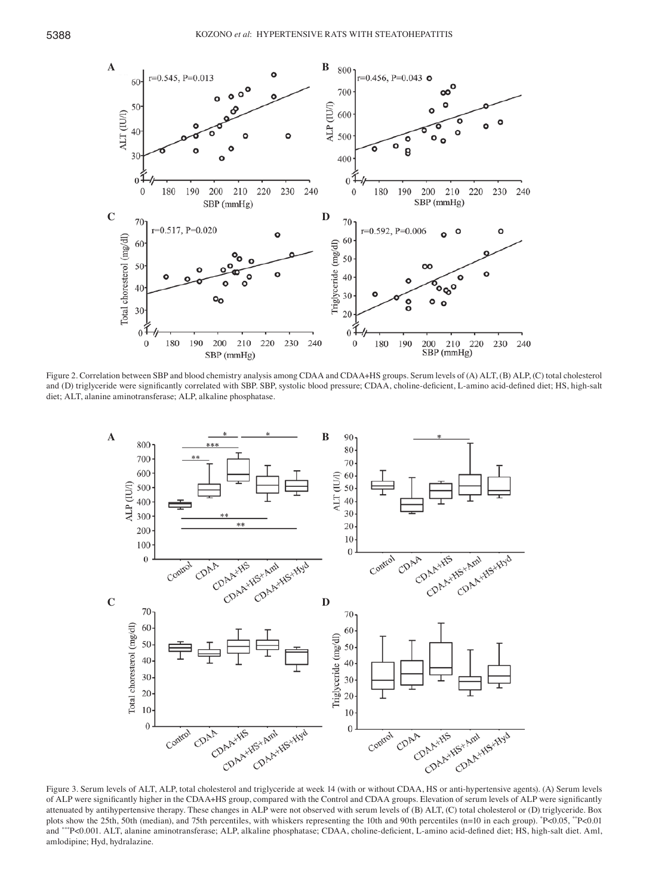

Figure 2. Correlation between SBP and blood chemistry analysis among CDAA and CDAA+HS groups. Serum levels of (A) ALT, (B) ALP, (C) total cholesterol and (D) triglyceride were significantly correlated with SBP. SBP, systolic blood pressure; CDAA, choline-deficient, L-amino acid-defined diet; HS, high-salt diet; ALT, alanine aminotransferase; ALP, alkaline phosphatase.



Figure 3. Serum levels of ALT, ALP, total cholesterol and triglyceride at week 14 (with or without CDAA, HS or anti-hypertensive agents). (A) Serum levels of ALP were significantly higher in the CDAA+HS group, compared with the Control and CDAA groups. Elevation of serum levels of ALP were significantly attenuated by antihypertensive therapy. These changes in ALP were not observed with serum levels of (B) ALT, (C) total cholesterol or (D) triglyceride. Box plots show the 25th, 50th (median), and 75th percentiles, with whiskers representing the 10th and 90th percentiles (n=10 in each group). "P<0.05, ""P<0.01 and \*\*\*P<0.001. ALT, alanine aminotransferase; ALP, alkaline phosphatase; CDAA, choline-deficient, L-amino acid-defined diet; HS, high-salt diet. Aml, amlodipine; Hyd, hydralazine.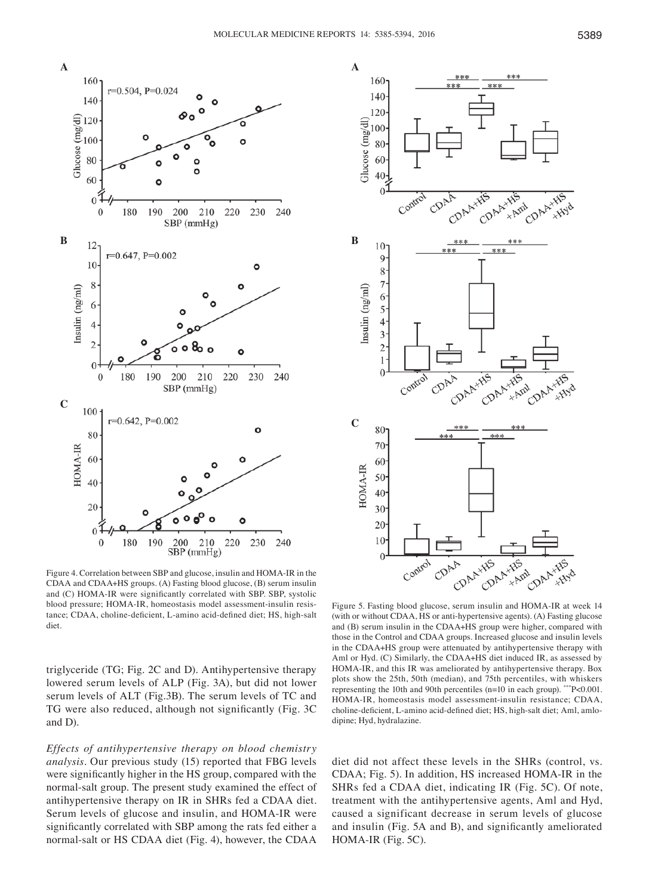



Figure 4. Correlation between SBP and glucose, insulin and HOMA-IR in the CDAA and CDAA+HS groups. (A) Fasting blood glucose, (B) serum insulin and (C) HOMA-IR were significantly correlated with SBP. SBP, systolic blood pressure; HOMA-IR, homeostasis model assessment-insulin resistance; CDAA, choline-deficient, L-amino acid-defined diet; HS, high-salt diet

triglyceride (TG; Fig. 2C and D). Antihypertensive therapy lowered serum levels of ALP (Fig. 3A), but did not lower serum levels of ALT (Fig.3B). The serum levels of TC and TG were also reduced, although not significantly (Fig. 3C and D).

*Effects of antihypertensive therapy on blood chemistry analysis.* Our previous study (15) reported that FBG levels were significantly higher in the HS group, compared with the normal-salt group. The present study examined the effect of antihypertensive therapy on IR in SHRs fed a CDAA diet. Serum levels of glucose and insulin, and HOMA-IR were significantly correlated with SBP among the rats fed either a normal-salt or HS CDAA diet (Fig. 4), however, the CDAA

Figure 5. Fasting blood glucose, serum insulin and HOMA-IR at week 14 (with or without CDAA, HS or anti-hypertensive agents). (A) Fasting glucose and (B) serum insulin in the CDAA+HS group were higher, compared with those in the Control and CDAA groups. Increased glucose and insulin levels in the CDAA+HS group were attenuated by antihypertensive therapy with Aml or Hyd. (C) Similarly, the CDAA+HS diet induced IR, as assessed by HOMA-IR, and this IR was ameliorated by antihypertensive therapy. Box plots show the 25th, 50th (median), and 75th percentiles, with whiskers representing the 10th and 90th percentiles (n=10 in each group). \*\*\*P<0.001. HOMA-IR, homeostasis model assessment-insulin resistance; CDAA, choline-deficient, L-amino acid-defined diet; HS, high-salt diet; Aml, amlodipine; Hyd, hydralazine.

diet did not affect these levels in the SHRs (control, vs. CDAA; Fig. 5). In addition, HS increased HOMA-IR in the SHRs fed a CDAA diet, indicating IR (Fig. 5C). Of note, treatment with the antihypertensive agents, Aml and Hyd, caused a significant decrease in serum levels of glucose and insulin (Fig. 5A and B), and significantly ameliorated HOMA-IR (Fig. 5C).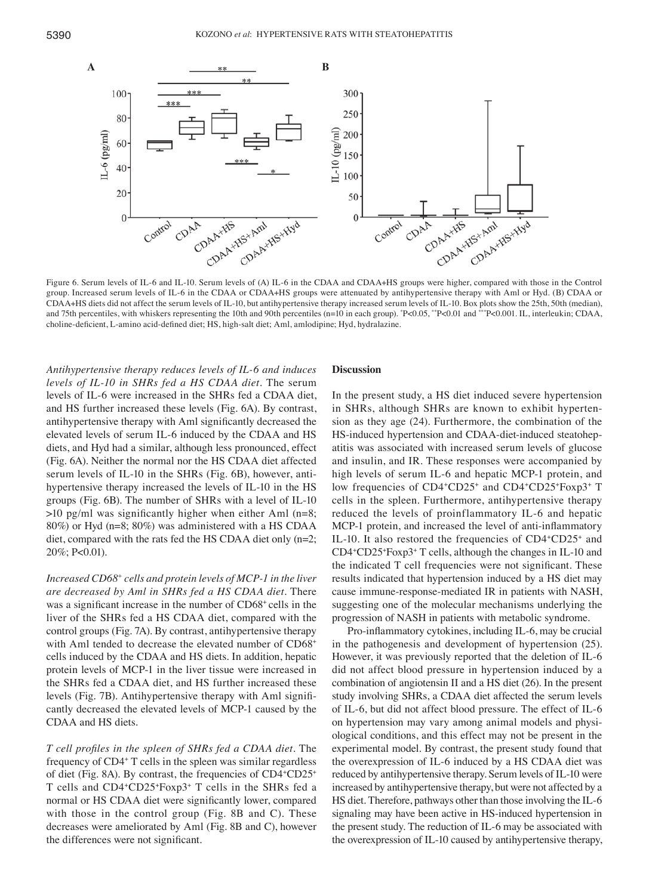

Figure 6. Serum levels of IL-6 and IL-10. Serum levels of (A) IL-6 in the CDAA and CDAA+HS groups were higher, compared with those in the Control group. Increased serum levels of IL-6 in the CDAA or CDAA+HS groups were attenuated by antihypertensive therapy with Aml or Hyd. (B) CDAA or CDAA+HS diets did not affect the serum levels of IL-10, but antihypertensive therapy increased serum levels of IL-10. Box plots show the 25th, 50th (median), and 75th percentiles, with whiskers representing the 10th and 90th percentiles (n=10 in each group). \*P<0.05, \*\*P<0.01 and \*\*\*P<0.001. IL, interleukin; CDAA, choline‑deficient, L‑amino acid‑defined diet; HS, high‑salt diet; Aml, amlodipine; Hyd, hydralazine.

*Antihypertensive therapy reduces levels of IL‑6 and induces levels of IL‑10 in SHRs fed a HS CDAA diet.* The serum levels of IL-6 were increased in the SHRs fed a CDAA diet, and HS further increased these levels (Fig. 6A). By contrast, antihypertensive therapy with Aml significantly decreased the elevated levels of serum IL-6 induced by the CDAA and HS diets, and Hyd had a similar, although less pronounced, effect (Fig. 6A). Neither the normal nor the HS CDAA diet affected serum levels of IL-10 in the SHRs (Fig. 6B), however, antihypertensive therapy increased the levels of IL-10 in the HS groups (Fig. 6B). The number of SHRs with a level of IL-10  $>10$  pg/ml was significantly higher when either Aml (n=8; 80%) or Hyd (n=8; 80%) was administered with a HS CDAA diet, compared with the rats fed the HS CDAA diet only (n=2; 20%; P<0.01).

*Increased CD68+ cells and protein levels of MCP‑1 in the liver are decreased by Aml in SHRs fed a HS CDAA diet.* There was a significant increase in the number of CD68+ cells in the liver of the SHRs fed a HS CDAA diet, compared with the control groups (Fig. 7A). By contrast, antihypertensive therapy with Aml tended to decrease the elevated number of CD68<sup>+</sup> cells induced by the CDAA and HS diets. In addition, hepatic protein levels of MCP-1 in the liver tissue were increased in the SHRs fed a CDAA diet, and HS further increased these levels (Fig. 7B). Antihypertensive therapy with Aml significantly decreased the elevated levels of MCP-1 caused by the CDAA and HS diets.

*T cell profiles in the spleen of SHRs fed a CDAA diet.* The frequency of CD4+ T cells in the spleen was similar regardless of diet (Fig. 8A). By contrast, the frequencies of CD4+CD25+ T cells and CD4+CD25+ Foxp3+ T cells in the SHRs fed a normal or HS CDAA diet were significantly lower, compared with those in the control group (Fig. 8B and C). These decreases were ameliorated by Aml (Fig. 8B and C), however the differences were not significant.

#### **Discussion**

In the present study, a HS diet induced severe hypertension in SHRs, although SHRs are known to exhibit hypertension as they age (24). Furthermore, the combination of the HS-induced hypertension and CDAA-diet-induced steatohepatitis was associated with increased serum levels of glucose and insulin, and IR. These responses were accompanied by high levels of serum IL-6 and hepatic MCP-1 protein, and low frequencies of CD4<sup>+</sup>CD25<sup>+</sup> and CD4<sup>+</sup>CD25<sup>+</sup>Foxp3<sup>+</sup> T cells in the spleen. Furthermore, antihypertensive therapy reduced the levels of proinflammatory IL-6 and hepatic MCP-1 protein, and increased the level of anti-inflammatory IL-10. It also restored the frequencies of CD4+CD25+ and CD4+ CD25+ Foxp3+ T cells, although the changes in IL-10 and the indicated T cell frequencies were not significant. These results indicated that hypertension induced by a HS diet may cause immune-response-mediated IR in patients with NASH, suggesting one of the molecular mechanisms underlying the progression of NASH in patients with metabolic syndrome.

Pro-inflammatory cytokines, including IL-6, may be crucial in the pathogenesis and development of hypertension (25). However, it was previously reported that the deletion of IL-6 did not affect blood pressure in hypertension induced by a combination of angiotensin II and a HS diet (26). In the present study involving SHRs, a CDAA diet affected the serum levels of IL-6, but did not affect blood pressure. The effect of IL-6 on hypertension may vary among animal models and physiological conditions, and this effect may not be present in the experimental model. By contrast, the present study found that the overexpression of IL-6 induced by a HS CDAA diet was reduced by antihypertensive therapy. Serum levels of IL-10 were increased by antihypertensive therapy, but were not affected by a HS diet. Therefore, pathways other than those involving the IL-6 signaling may have been active in HS-induced hypertension in the present study. The reduction of IL-6 may be associated with the overexpression of IL-10 caused by antihypertensive therapy,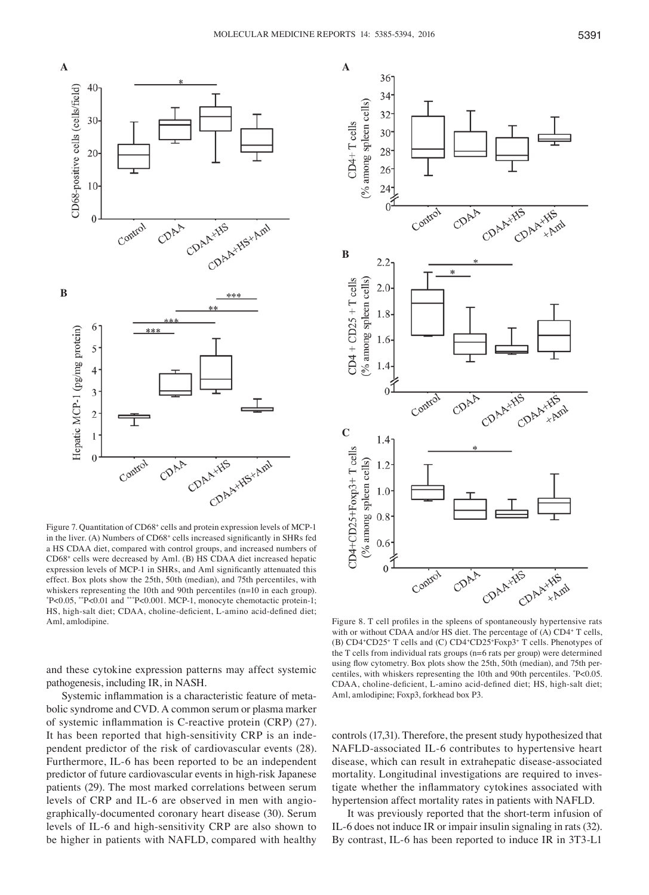

Figure 7. Quantitation of CD68<sup>+</sup> cells and protein expression levels of MCP-1 in the liver. (A) Numbers of CD68+ cells increased significantly in SHRs fed a HS CDAA diet, compared with control groups, and increased numbers of CD68+ cells were decreased by Aml. (B) HS CDAA diet increased hepatic expression levels of MCP‑1 in SHRs, and Aml significantly attenuated this effect. Box plots show the 25th, 50th (median), and 75th percentiles, with whiskers representing the 10th and 90th percentiles (n=10 in each group). \* P<0.05, \*\*P<0.01 and \*\*\*P<0.001. MCP-1, monocyte chemotactic protein-1; HS, high-salt diet; CDAA, choline-deficient, L-amino acid-defined diet; Aml, amlodipine.

and these cytokine expression patterns may affect systemic pathogenesis, including IR, in NASH.

Systemic inflammation is a characteristic feature of metabolic syndrome and CVD. A common serum or plasma marker of systemic inflammation is C‑reactive protein (CRP) (27). It has been reported that high-sensitivity CRP is an independent predictor of the risk of cardiovascular events (28). Furthermore, IL-6 has been reported to be an independent predictor of future cardiovascular events in high-risk Japanese patients (29). The most marked correlations between serum levels of CRP and IL-6 are observed in men with angiographically-documented coronary heart disease (30). Serum levels of IL-6 and high-sensitivity CRP are also shown to be higher in patients with NAFLD, compared with healthy



Figure 8. T cell profiles in the spleens of spontaneously hypertensive rats with or without CDAA and/or HS diet. The percentage of (A) CD4<sup>+</sup> T cells, (B) CD4+ CD25+ T cells and (C) CD4+ CD25+ Foxp3+ T cells. Phenotypes of the T cells from individual rats groups (n=6 rats per group) were determined using flow cytometry. Box plots show the 25th, 50th (median), and 75th percentiles, with whiskers representing the 10th and 90th percentiles. \* P<0.05. CDAA, choline-deficient, L-amino acid-defined diet; HS, high-salt diet; Aml, amlodipine; Foxp3, forkhead box P3.

controls (17,31). Therefore, the present study hypothesized that NAFLD-associated IL-6 contributes to hypertensive heart disease, which can result in extrahepatic disease-associated mortality. Longitudinal investigations are required to investigate whether the inflammatory cytokines associated with hypertension affect mortality rates in patients with NAFLD.

It was previously reported that the short-term infusion of IL-6 does not induce IR or impair insulin signaling in rats (32). By contrast, IL-6 has been reported to induce IR in 3T3-L1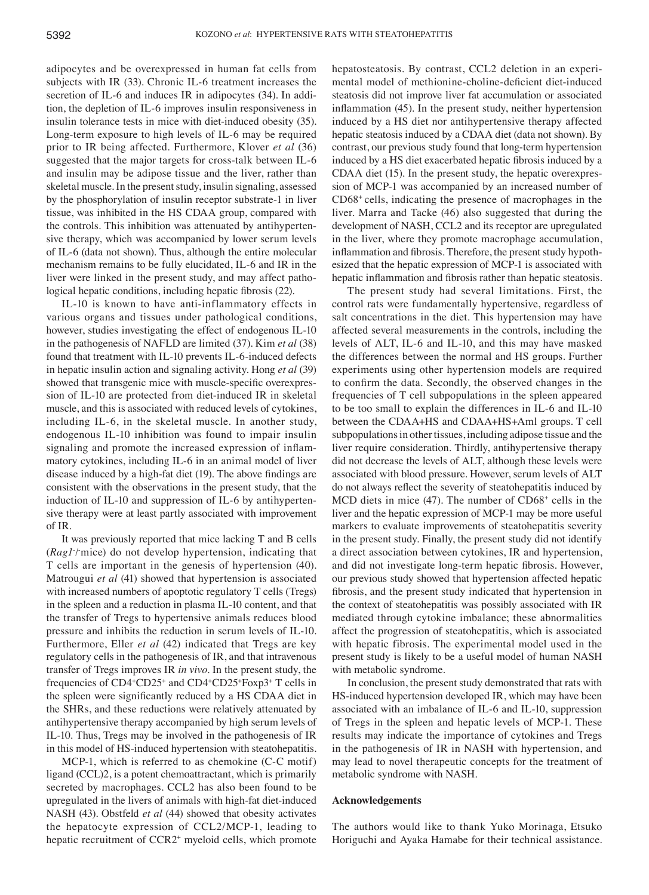adipocytes and be overexpressed in human fat cells from subjects with IR (33). Chronic IL-6 treatment increases the secretion of IL-6 and induces IR in adipocytes (34). In addition, the depletion of IL-6 improves insulin responsiveness in insulin tolerance tests in mice with diet-induced obesity (35). Long-term exposure to high levels of IL-6 may be required prior to IR being affected. Furthermore, Klover *et al* (36) suggested that the major targets for cross-talk between IL-6 and insulin may be adipose tissue and the liver, rather than skeletal muscle. In the present study, insulin signaling, assessed by the phosphorylation of insulin receptor substrate-1 in liver tissue, was inhibited in the HS CDAA group, compared with the controls. This inhibition was attenuated by antihypertensive therapy, which was accompanied by lower serum levels of IL-6 (data not shown). Thus, although the entire molecular mechanism remains to be fully elucidated, IL-6 and IR in the liver were linked in the present study, and may affect pathological hepatic conditions, including hepatic fibrosis (22).

IL-10 is known to have anti-inflammatory effects in various organs and tissues under pathological conditions, however, studies investigating the effect of endogenous IL-10 in the pathogenesis of NAFLD are limited (37). Kim *et al* (38) found that treatment with IL-10 prevents IL-6-induced defects in hepatic insulin action and signaling activity. Hong *et al* (39) showed that transgenic mice with muscle‑specific overexpression of IL-10 are protected from diet-induced IR in skeletal muscle, and this is associated with reduced levels of cytokines, including IL-6, in the skeletal muscle. In another study, endogenous IL-10 inhibition was found to impair insulin signaling and promote the increased expression of inflammatory cytokines, including IL-6 in an animal model of liver disease induced by a high-fat diet (19). The above findings are consistent with the observations in the present study, that the induction of IL-10 and suppression of IL-6 by antihypertensive therapy were at least partly associated with improvement of IR.

It was previously reported that mice lacking T and B cells (*Ragl*/mice) do not develop hypertension, indicating that T cells are important in the genesis of hypertension (40). Matrougui *et al* (41) showed that hypertension is associated with increased numbers of apoptotic regulatory T cells (Tregs) in the spleen and a reduction in plasma IL-10 content, and that the transfer of Tregs to hypertensive animals reduces blood pressure and inhibits the reduction in serum levels of IL-10. Furthermore, Eller *et al* (42) indicated that Tregs are key regulatory cells in the pathogenesis of IR, and that intravenous transfer of Tregs improves IR *in vivo*. In the present study, the frequencies of CD4<sup>+</sup>CD25<sup>+</sup> and CD4<sup>+</sup>CD25<sup>+</sup>Foxp3<sup>+</sup> T cells in the spleen were significantly reduced by a HS CDAA diet in the SHRs, and these reductions were relatively attenuated by antihypertensive therapy accompanied by high serum levels of IL-10. Thus, Tregs may be involved in the pathogenesis of IR in this model of HS-induced hypertension with steatohepatitis.

MCP-1, which is referred to as chemokine (C-C motif) ligand (CCL)2, is a potent chemoattractant, which is primarily secreted by macrophages. CCL2 has also been found to be upregulated in the livers of animals with high-fat diet-induced NASH (43). Obstfeld *et al* (44) showed that obesity activates the hepatocyte expression of CCL2/MCP-1, leading to hepatic recruitment of CCR2+ myeloid cells, which promote hepatosteatosis. By contrast, CCL2 deletion in an experimental model of methionine‑choline‑deficient diet‑induced steatosis did not improve liver fat accumulation or associated inflammation (45). In the present study, neither hypertension induced by a HS diet nor antihypertensive therapy affected hepatic steatosis induced by a CDAA diet (data not shown). By contrast, our previous study found that long-term hypertension induced by a HS diet exacerbated hepatic fibrosis induced by a CDAA diet (15). In the present study, the hepatic overexpression of MCP-1 was accompanied by an increased number of CD68+ cells, indicating the presence of macrophages in the liver. Marra and Tacke (46) also suggested that during the development of NASH, CCL2 and its receptor are upregulated in the liver, where they promote macrophage accumulation, inflammation and fibrosis. Therefore, the present study hypothesized that the hepatic expression of MCP-1 is associated with hepatic inflammation and fibrosis rather than hepatic steatosis.

The present study had several limitations. First, the control rats were fundamentally hypertensive, regardless of salt concentrations in the diet. This hypertension may have affected several measurements in the controls, including the levels of ALT, IL-6 and IL-10, and this may have masked the differences between the normal and HS groups. Further experiments using other hypertension models are required to confirm the data. Secondly, the observed changes in the frequencies of T cell subpopulations in the spleen appeared to be too small to explain the differences in IL-6 and IL-10 between the CDAA+HS and CDAA+HS+Aml groups. T cell subpopulations in other tissues, including adipose tissue and the liver require consideration. Thirdly, antihypertensive therapy did not decrease the levels of ALT, although these levels were associated with blood pressure. However, serum levels of ALT do not always reflect the severity of steatohepatitis induced by MCD diets in mice (47). The number of CD68<sup>+</sup> cells in the liver and the hepatic expression of MCP-1 may be more useful markers to evaluate improvements of steatohepatitis severity in the present study. Finally, the present study did not identify a direct association between cytokines, IR and hypertension, and did not investigate long‑term hepatic fibrosis. However, our previous study showed that hypertension affected hepatic fibrosis, and the present study indicated that hypertension in the context of steatohepatitis was possibly associated with IR mediated through cytokine imbalance; these abnormalities affect the progression of steatohepatitis, which is associated with hepatic fibrosis. The experimental model used in the present study is likely to be a useful model of human NASH with metabolic syndrome.

In conclusion, the present study demonstrated that rats with HS-induced hypertension developed IR, which may have been associated with an imbalance of IL-6 and IL-10, suppression of Tregs in the spleen and hepatic levels of MCP-1. These results may indicate the importance of cytokines and Tregs in the pathogenesis of IR in NASH with hypertension, and may lead to novel therapeutic concepts for the treatment of metabolic syndrome with NASH.

#### **Acknowledgements**

The authors would like to thank Yuko Morinaga, Etsuko Horiguchi and Ayaka Hamabe for their technical assistance.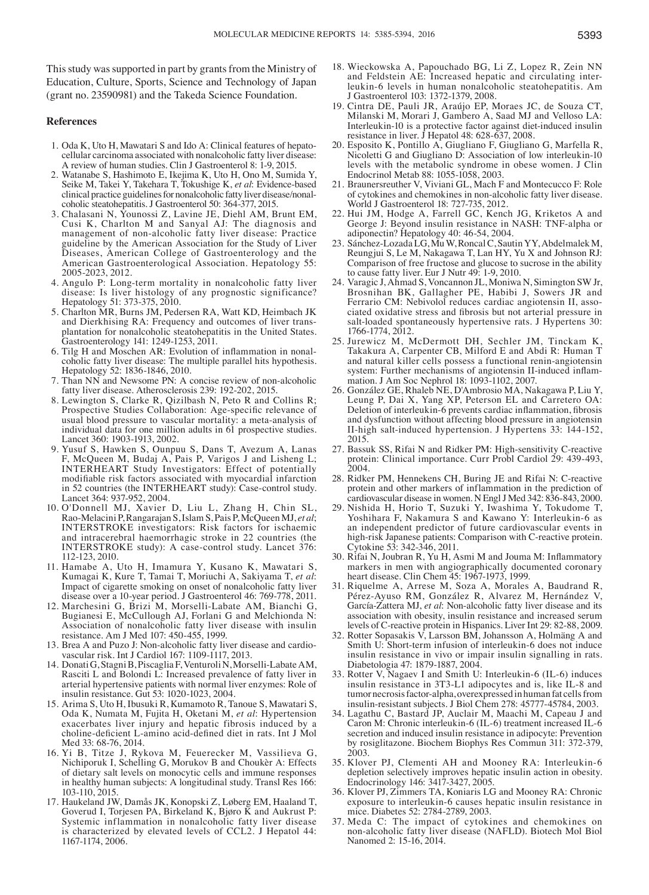This study was supported in part by grants from the Ministry of Education, Culture, Sports, Science and Technology of Japan (grant no. 23590981) and the Takeda Science Foundation.

#### **References**

- 1. Oda K, Uto H, Mawatari S and Ido A: Clinical features of hepatocellular carcinoma associated with nonalcoholic fatty liver disease: A review of human studies. Clin J Gastroenterol 8: 1-9, 2015.
- 2. Watanabe S, Hashimoto E, Ikejima K, Uto H, Ono M, Sumida Y, Seike M, Takei Y, Takehara T, Tokushige K, *et al*: Evidence-based clinical practice guidelines for nonalcoholic fatty liver disease/nonalcoholic steatohepatitis. J Gastroenterol 50: 364-377, 2015.
- 3. Chalasani N, Younossi Z, Lavine JE, Diehl AM, Brunt EM, Cusi K, Charlton M and Sanyal AJ: The diagnosis and management of non-alcoholic fatty liver disease: Practice guideline by the American Association for the Study of Liver Diseases, American College of Gastroenterology and the American Gastroenterological Association. Hepatology 55: 2005-2023, 2012.
- 4. Angulo P: Long-term mortality in nonalcoholic fatty liver disease: Is liver histology of any prognostic significance? Hepatology 51: 373-375, 2010.
- 5. Charlton MR, Burns JM, Pedersen RA, Watt KD, Heimbach JK and Dierkhising RA: Frequency and outcomes of liver transplantation for nonalcoholic steatohepatitis in the United States.<br>Gastroenterology 141: 1249-1253, 2011.
- 6. Tilg H and Moschen AR: Evolution of inflammation in nonal-<br>coholic fatty liver disease: The multiple parallel hits hypothesis.<br>Hepatology 52: 1836-1846, 2010.<br>7. Than NN and Newsome PN: A concise review of non-alcoholic
- 
- 8. Lewington S, Clarke R, Qizilbash N, Peto R and Collins R; Prospective Studies Collaboration: Age-specific relevance of usual blood pressure to vascular mortality: a meta-analysis of individual data for one million adults in 61 prospective studies. Lancet 360: 1903-1913, 2002.
- 9. Yusuf S, Hawken S, Ounpuu S, Dans T, Avezum A, Lanas F, McQueen M, Budaj A, Pais P, Varigos J and Lisheng L; INTERHEART Study Investigators: Effect of potentially modifiable risk factors associated with myocardial infarction in 52 countries (the INTERHEART study): Case-control study. Lancet 364: 937-952, 2004.
- 10. O'Donnell MJ, Xavier D, Liu L, Zhang H, Chin SL, Rao-Melacini P, Rangarajan S, Islam S, Pais P, McQueen MJ, *et al*; INTERSTROKE investigators: Risk factors for ischaemic and intracerebral haemorrhagic stroke in 22 countries (the INTERSTROKE study): A case-control study. Lancet 376: 112-123, 2010.
- 11. Hamabe A, Uto H, Imamura Y, Kusano K, Mawatari S, Kumagai K, Kure T, Tamai T, Moriuchi A, Sakiyama T, *et al*: Impact of cigarette smoking on onset of nonalcoholic fatty liver disease over a 10-year period. J Gastroenterol 46: 769-778, 2011.
- 12. Marchesini G, Brizi M, Morselli-Labate AM, Bianchi G, Bugianesi E, McCullough AJ, Forlani G and Melchionda N: Association of nonalcoholic fatty liver disease with insulin resistance. Am J Med 107: 450-455, 1999.
- 13. Brea A and Puzo J: Non-alcoholic fatty liver disease and cardiovascular risk. Int J Cardiol 167: 1109-1117, 2013.
- 14. Donati G, Stagni B, Piscaglia F, Venturoli N, Morselli-Labate AM, Rasciti L and Bolondi L: Increased prevalence of fatty liver in arterial hypertensive patients with normal liver enzymes: Role of insulin resistance. Gut 53: 1020-1023, 2004.
- 15. Arima S, Uto H, Ibusuki R, Kumamoto R, Tanoue S, Mawatari S, Oda K, Numata M, Fujita H, Oketani M, *et al*: Hypertension exacerbates liver injury and hepatic fibrosis induced by a choline-deficient L-amino acid-defined diet in rats. Int J Mol<br>Med 33: 68-76, 2014.
- 16. Yi B, Titze J, Rykova M, Feuerecker M, Vassilieva G, Nichiporuk I, Schelling G, Morukov B and Choukèr A: Effects of dietary salt levels on monocytic cells and immune responses in healthy human subjects: A longitudinal study. Transl Res 166: 103-110, 2015.
- 17. Haukeland JW, Damås JK, Konopski Z, Løberg EM, Haaland T, Goverud I, Torjesen PA, Birkeland K, Bjøro K and Aukrust P: Systemic inflammation in nonalcoholic fatty liver disease is characterized by elevated levels of CCL2. J Hepatol 44: 1167-1174, 2006.
- 18. Wieckowska A, Papouchado BG, Li Z, Lopez R, Zein NN and Feldstein AE: Increased hepatic and circulating interleukin-6 levels in human nonalcoholic steatohepatitis. Am J Gastroenterol 103: 1372-1379, 2008.
- 19. Cintra DE, Pauli JR, Araújo EP, Moraes JC, de Souza CT, Milanski M, Morari J, Gambero A, Saad MJ and Velloso LA: Interleukin-10 is a protective factor against diet-induced insulin resistance in liver. J Hepatol 48:  $628-\overline{637}$ , 2008.
- 20. Esposito K, Pontillo A, Giugliano F, Giugliano G, Marfella R, Nicoletti G and Giugliano D: Association of low interleukin-10 levels with the metabolic syndrome in obese women. J Clin Endocrinol Metab 88: 1055-1058, 2003.
- 21. Braunersreuther V, Viviani GL, Mach F and Montecucco F: Role of cytokines and chemokines in non-alcoholic fatty liver disease. World J Gastroenterol 18: 727-735, 2012.
- 22. Hui JM, Hodge A, Farrell GC, Kench JG, Kriketos A and George J: Beyond insulin resistance in NASH: TNF-alpha or adiponectin? Hepatology 40: 46-54, 2004.
- 23. Sánchez-LozadaLG, MuW, RoncalC, Sautin YY, AbdelmalekM, Reungjui S, Le M, Nakagawa T, Lan HY, Yu X and Johnson RJ: Comparison of free fructose and glucose to sucrose in the ability to cause fatty liver. Eur J Nutr 49: 1-9, 2010.
- 24. Varagic J, Ahmad S, Voncannon JL, Moniwa N, Simington SW Jr, Brosnihan BK, Gallagher PE, Habibi J, Sowers JR and Ferrario CM: Nebivolol reduces cardiac angiotensin II, associated oxidative stress and fibrosis but not arterial pressure in salt-loaded spontaneously hypertensive rats. J Hypertens 30: 1766-1774, 2012.
- 25. Jurewicz M, McDermott DH, Sechler JM, Tinckam K, Takakura A, Carpenter CB, Milford E and Abdi R: Human T and natural killer cells possess a functional renin-angiotensin system: Further mechanisms of angiotensin II-induced inflammation. J Am Soc Nephrol 18: 1093-1102, 2007.
- 26. González GE, Rhaleb NE, D'Ambrosio MA, Nakagawa P, Liu Y, Leung P, Dai X, Yang XP, Peterson EL and Carretero OA: Deletion of interleukin‑6 prevents cardiac inflammation, fibrosis and dysfunction without affecting blood pressure in angiotensin II-high salt-induced hypertension. J Hypertens 33: 144-152, 2015.
- 27. Bassuk SS, Rifai N and Ridker PM: High-sensitivity C-reactive protein: Clinical importance. Curr Probl Cardiol 29: 439-493, 2004.
- 28. Ridker PM, Hennekens CH, Buring JE and Rifai N: C-reactive protein and other markers of inflammation in the prediction of cardiovascular disease in women. N Engl J Med 342: 836-843, 2000.
- 29. Nishida H, Horio T, Suzuki Y, Iwashima Y, Tokudome T, Yoshihara F, Nakamura S and Kawano Y: Interleukin-6 as an independent predictor of future cardiovascular events in high-risk Japanese patients: Comparison with C-reactive protein. Cytokine 53: 342-346, 2011.
- 30. Rifai N, Joubran R, Yu H, Asmi M and Jouma M: Inflammatory markers in men with angiographically documented coronary heart disease. Clin Chem 45: 1967-1973, 1999.
- 31. Riquelme A, Arrese M, Soza A, Morales A, Baudrand R, Pérez-Ayuso RM, González R, Alvarez M, Hernández V, García-Zattera MJ, *et al*: Non-alcoholic fatty liver disease and its association with obesity, insulin resistance and increased serum levels of C-reactive protein in Hispanics. Liver Int 29: 82-88, 2009.
- 32. Rotter Sopasakis V, Larsson BM, Johansson A, Holmäng A and Smith U: Short-term infusion of interleukin-6 does not induce insulin resistance in vivo or impair insulin signalling in rats. Diabetologia 47: 1879-1887, 2004.
- 33. Rotter V, Nagaev I and Smith U: Interleukin-6 (IL-6) induces insulin resistance in 3T3-L1 adipocytes and is, like IL-8 and tumor necrosis factor-alpha, overexpressed in human fat cells from insulin-resistant subjects. J Biol Chem 278: 45777-45784, 2003.
- 34. Lagathu C, Bastard JP, Auclair M, Maachi M, Capeau J and Caron M: Chronic interleukin-6 (IL-6) treatment increased IL-6 secretion and induced insulin resistance in adipocyte: Prevention<br>by rosiglitazone. Biochem Biophys Res Commun 311: 372-379,
- 2003.<br>35. Klover PJ, Clementi AH and Mooney RA: Interleukin-6 depletion selectively improves hepatic insulin action in obesity. Endocrinology 146: 3417-3427, 2005.<br>36. Klover PJ, Zimmers TA, Koniaris LG and Mooney RA: Chronic
- exposure to interleukin-6 causes hepatic insulin resistance in
- 37. Meda C: The impact of cytokines and chemokines on non-alcoholic fatty liver disease (NAFLD). Biotech Mol Biol Nanomed 2: 15-16, 2014.